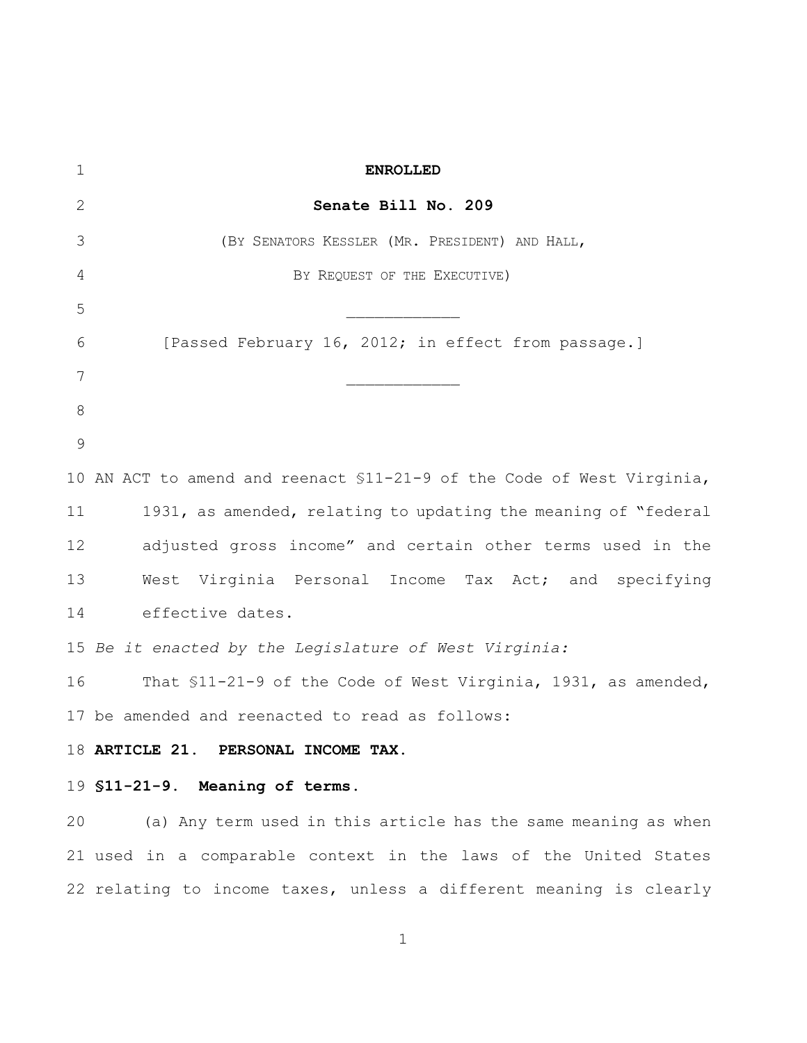| $\mathbf 1$   | <b>ENROLLED</b>                                                        |
|---------------|------------------------------------------------------------------------|
| 2             | Senate Bill No. 209                                                    |
| 3             | (BY SENATORS KESSLER (MR. PRESIDENT) AND HALL,                         |
| 4             | BY REQUEST OF THE EXECUTIVE)                                           |
| 5             |                                                                        |
| 6             | [Passed February 16, 2012; in effect from passage.]                    |
| 7             |                                                                        |
| 8             |                                                                        |
| $\mathcal{G}$ |                                                                        |
|               | 10 AN ACT to amend and reenact \$11-21-9 of the Code of West Virginia, |
| 11            | 1931, as amended, relating to updating the meaning of "federal         |
| 12            | adjusted gross income" and certain other terms used in the             |
| 13            | West Virginia Personal Income Tax Act; and specifying                  |
| 14            | effective dates.                                                       |
|               | 15 Be it enacted by the Legislature of West Virginia:                  |
| 16            | That \$11-21-9 of the Code of West Virginia, 1931, as amended,         |
|               | 17 be amended and reenacted to read as follows:                        |
|               | 18 ARTICLE 21. PERSONAL INCOME<br><b>TAX</b>                           |
|               | 19 \$11-21-9. Meaning of terms.                                        |
| 20            | (a) Any term used in this article has the same meaning as when         |
|               | 21 used in a comparable context in the laws of the United States       |
|               | 22 relating to income taxes, unless a different meaning is clearly     |
|               |                                                                        |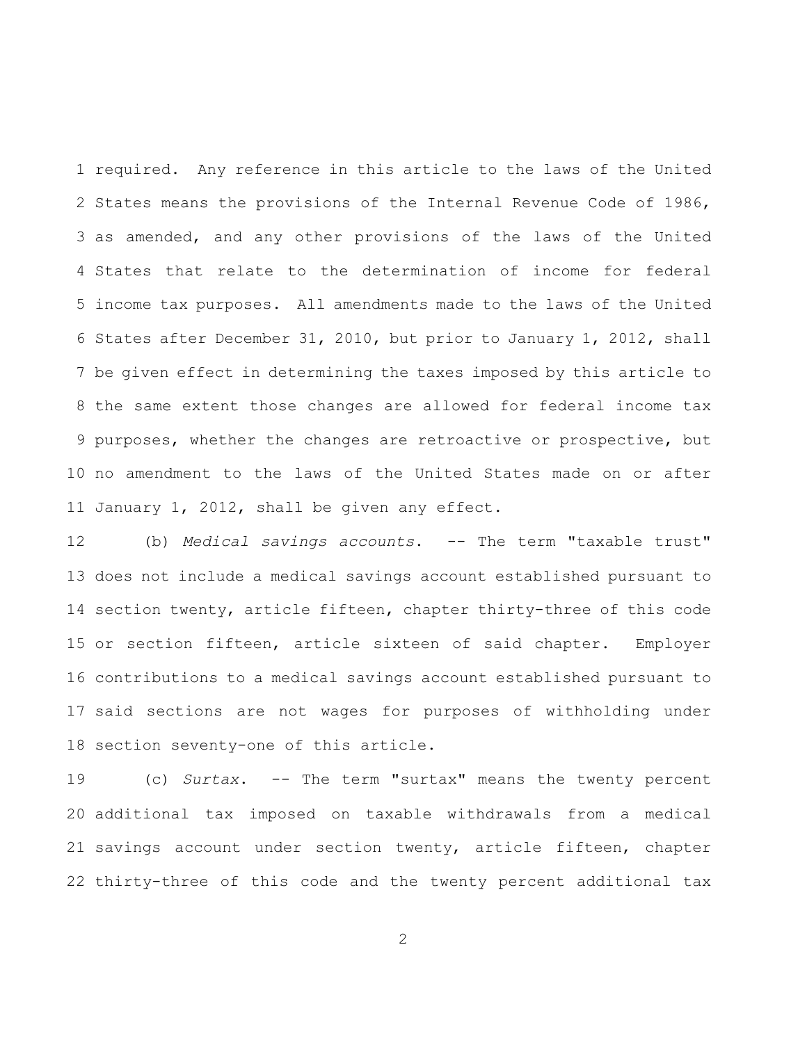required. Any reference in this article to the laws of the United States means the provisions of the Internal Revenue Code of 1986, as amended, and any other provisions of the laws of the United States that relate to the determination of income for federal income tax purposes. All amendments made to the laws of the United States after December 31, 2010, but prior to January 1, 2012, shall be given effect in determining the taxes imposed by this article to the same extent those changes are allowed for federal income tax purposes, whether the changes are retroactive or prospective, but no amendment to the laws of the United States made on or after January 1, 2012, shall be given any effect.

 (b) *Medical savings accounts*. -- The term "taxable trust" does not include a medical savings account established pursuant to section twenty, article fifteen, chapter thirty-three of this code or section fifteen, article sixteen of said chapter. Employer contributions to a medical savings account established pursuant to said sections are not wages for purposes of withholding under section seventy-one of this article.

 (c) *Surtax*. -- The term "surtax" means the twenty percent additional tax imposed on taxable withdrawals from a medical savings account under section twenty, article fifteen, chapter thirty-three of this code and the twenty percent additional tax